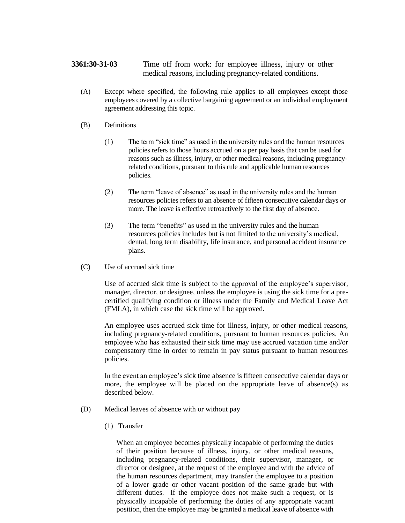# **3361:30-31-03** Time off from work: for employee illness, injury or other medical reasons, including pregnancy-related conditions.

(A) Except where specified, the following rule applies to all employees except those employees covered by a collective bargaining agreement or an individual employment agreement addressing this topic.

## (B) Definitions

- (1) The term "sick time" as used in the university rules and the human resources policies refers to those hours accrued on a per pay basis that can be used for reasons such as illness, injury, or other medical reasons, including pregnancyrelated conditions, pursuant to this rule and applicable human resources policies.
- (2) The term "leave of absence" as used in the university rules and the human resources policies refers to an absence of fifteen consecutive calendar days or more. The leave is effective retroactively to the first day of absence.
- (3) The term "benefits" as used in the university rules and the human resources policies includes but is not limited to the university's medical, dental, long term disability, life insurance, and personal accident insurance plans.
- (C) Use of accrued sick time

Use of accrued sick time is subject to the approval of the employee's supervisor, manager, director, or designee, unless the employee is using the sick time for a precertified qualifying condition or illness under the Family and Medical Leave Act (FMLA), in which case the sick time will be approved.

An employee uses accrued sick time for illness, injury, or other medical reasons, including pregnancy-related conditions, pursuant to human resources policies. An employee who has exhausted their sick time may use accrued vacation time and/or compensatory time in order to remain in pay status pursuant to human resources policies.

In the event an employee's sick time absence is fifteen consecutive calendar days or more, the employee will be placed on the appropriate leave of absence(s) as described below.

- (D) Medical leaves of absence with or without pay
	- (1) Transfer

When an employee becomes physically incapable of performing the duties of their position because of illness, injury, or other medical reasons, including pregnancy-related conditions, their supervisor, manager, or director or designee, at the request of the employee and with the advice of the human resources department, may transfer the employee to a position of a lower grade or other vacant position of the same grade but with different duties. If the employee does not make such a request, or is physically incapable of performing the duties of any appropriate vacant position, then the employee may be granted a medical leave of absence with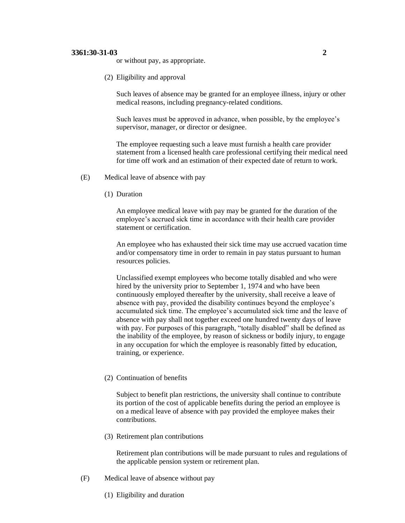### **3361:30-31-03 2**

or without pay, as appropriate.

(2) Eligibility and approval

Such leaves of absence may be granted for an employee illness, injury or other medical reasons, including pregnancy-related conditions.

Such leaves must be approved in advance, when possible, by the employee's supervisor, manager, or director or designee.

The employee requesting such a leave must furnish a health care provider statement from a licensed health care professional certifying their medical need for time off work and an estimation of their expected date of return to work.

- (E) Medical leave of absence with pay
	- (1) Duration

An employee medical leave with pay may be granted for the duration of the employee's accrued sick time in accordance with their health care provider statement or certification.

An employee who has exhausted their sick time may use accrued vacation time and/or compensatory time in order to remain in pay status pursuant to human resources policies.

Unclassified exempt employees who become totally disabled and who were hired by the university prior to September 1, 1974 and who have been continuously employed thereafter by the university, shall receive a leave of absence with pay, provided the disability continues beyond the employee's accumulated sick time. The employee's accumulated sick time and the leave of absence with pay shall not together exceed one hundred twenty days of leave with pay. For purposes of this paragraph, "totally disabled" shall be defined as the inability of the employee, by reason of sickness or bodily injury, to engage in any occupation for which the employee is reasonably fitted by education, training, or experience.

(2) Continuation of benefits

Subject to benefit plan restrictions, the university shall continue to contribute its portion of the cost of applicable benefits during the period an employee is on a medical leave of absence with pay provided the employee makes their contributions.

(3) Retirement plan contributions

Retirement plan contributions will be made pursuant to rules and regulations of the applicable pension system or retirement plan.

- (F) Medical leave of absence without pay
	- (1) Eligibility and duration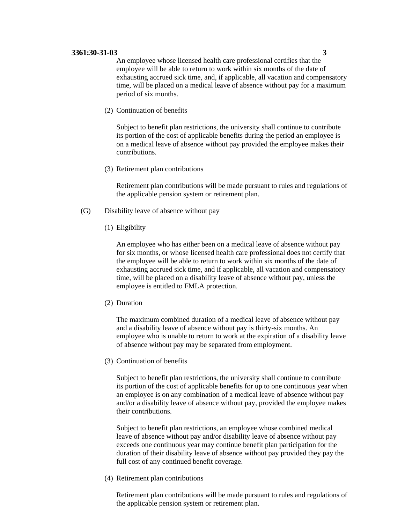#### **3361:30-31-03 3**

An employee whose licensed health care professional certifies that the employee will be able to return to work within six months of the date of exhausting accrued sick time, and, if applicable, all vacation and compensatory time, will be placed on a medical leave of absence without pay for a maximum period of six months.

(2) Continuation of benefits

Subject to benefit plan restrictions, the university shall continue to contribute its portion of the cost of applicable benefits during the period an employee is on a medical leave of absence without pay provided the employee makes their contributions.

(3) Retirement plan contributions

Retirement plan contributions will be made pursuant to rules and regulations of the applicable pension system or retirement plan.

- (G) Disability leave of absence without pay
	- (1) Eligibility

An employee who has either been on a medical leave of absence without pay for six months, or whose licensed health care professional does not certify that the employee will be able to return to work within six months of the date of exhausting accrued sick time, and if applicable, all vacation and compensatory time, will be placed on a disability leave of absence without pay, unless the employee is entitled to FMLA protection.

(2) Duration

The maximum combined duration of a medical leave of absence without pay and a disability leave of absence without pay is thirty-six months. An employee who is unable to return to work at the expiration of a disability leave of absence without pay may be separated from employment.

(3) Continuation of benefits

Subject to benefit plan restrictions, the university shall continue to contribute its portion of the cost of applicable benefits for up to one continuous year when an employee is on any combination of a medical leave of absence without pay and/or a disability leave of absence without pay, provided the employee makes their contributions.

Subject to benefit plan restrictions, an employee whose combined medical leave of absence without pay and/or disability leave of absence without pay exceeds one continuous year may continue benefit plan participation for the duration of their disability leave of absence without pay provided they pay the full cost of any continued benefit coverage.

(4) Retirement plan contributions

Retirement plan contributions will be made pursuant to rules and regulations of the applicable pension system or retirement plan.